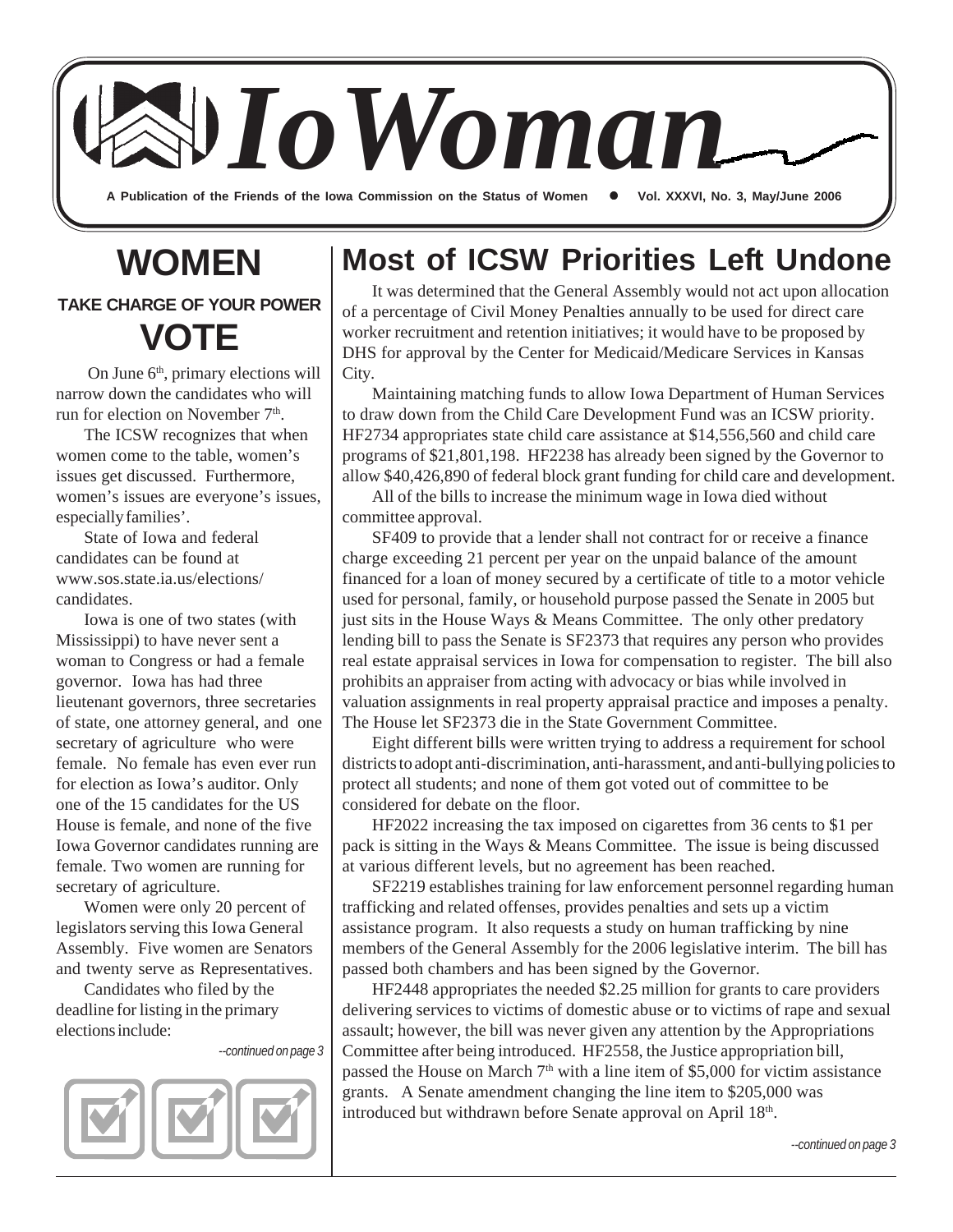A Publication of the Friends of the Iowa Commission on the Status of Women **Canal XXXVI**, No. 3, May/June 2006 *IoWoman*

# **WOMEN**

**TAKE CHARGE OF YOUR POWER VOTE**

On June 6<sup>th</sup>, primary elections will narrow down the candidates who will run for election on November 7<sup>th</sup>.

The ICSW recognizes that when women come to the table, women's issues get discussed. Furthermore, women's issues are everyone's issues, especially families'.

State of Iowa and federal candidates can be found at www.sos.state.ia.us/elections/ candidates.

Iowa is one of two states (with Mississippi) to have never sent a woman to Congress or had a female governor. Iowa has had three lieutenant governors, three secretaries of state, one attorney general, and one secretary of agriculture who were female. No female has even ever run for election as Iowa's auditor. Only one of the 15 candidates for the US House is female, and none of the five Iowa Governor candidates running are female. Two women are running for secretary of agriculture.

Women were only 20 percent of legislators serving this Iowa General Assembly. Five women are Senators and twenty serve as Representatives.

Candidates who filed by the deadline for listing in the primary elections include:

*--continued on page 3*



## **Most of ICSW Priorities Left Undone**

It was determined that the General Assembly would not act upon allocation of a percentage of Civil Money Penalties annually to be used for direct care worker recruitment and retention initiatives; it would have to be proposed by DHS for approval by the Center for Medicaid/Medicare Services in Kansas City.

Maintaining matching funds to allow Iowa Department of Human Services to draw down from the Child Care Development Fund was an ICSW priority. HF2734 appropriates state child care assistance at \$14,556,560 and child care programs of \$21,801,198. HF2238 has already been signed by the Governor to allow \$40,426,890 of federal block grant funding for child care and development.

All of the bills to increase the minimum wage in Iowa died without committee approval.

SF409 to provide that a lender shall not contract for or receive a finance charge exceeding 21 percent per year on the unpaid balance of the amount financed for a loan of money secured by a certificate of title to a motor vehicle used for personal, family, or household purpose passed the Senate in 2005 but just sits in the House Ways & Means Committee. The only other predatory lending bill to pass the Senate is SF2373 that requires any person who provides real estate appraisal services in Iowa for compensation to register. The bill also prohibits an appraiser from acting with advocacy or bias while involved in valuation assignments in real property appraisal practice and imposes a penalty. The House let SF2373 die in the State Government Committee.

Eight different bills were written trying to address a requirement for school districts to adopt anti-discrimination, anti-harassment, and anti-bullying policies to protect all students; and none of them got voted out of committee to be considered for debate on the floor.

HF2022 increasing the tax imposed on cigarettes from 36 cents to \$1 per pack is sitting in the Ways & Means Committee. The issue is being discussed at various different levels, but no agreement has been reached.

SF2219 establishes training for law enforcement personnel regarding human trafficking and related offenses, provides penalties and sets up a victim assistance program. It also requests a study on human trafficking by nine members of the General Assembly for the 2006 legislative interim. The bill has passed both chambers and has been signed by the Governor.

HF2448 appropriates the needed \$2.25 million for grants to care providers delivering services to victims of domestic abuse or to victims of rape and sexual assault; however, the bill was never given any attention by the Appropriations Committee after being introduced. HF2558, the Justice appropriation bill, passed the House on March  $7<sup>th</sup>$  with a line item of \$5,000 for victim assistance grants. A Senate amendment changing the line item to \$205,000 was introduced but withdrawn before Senate approval on April 18th.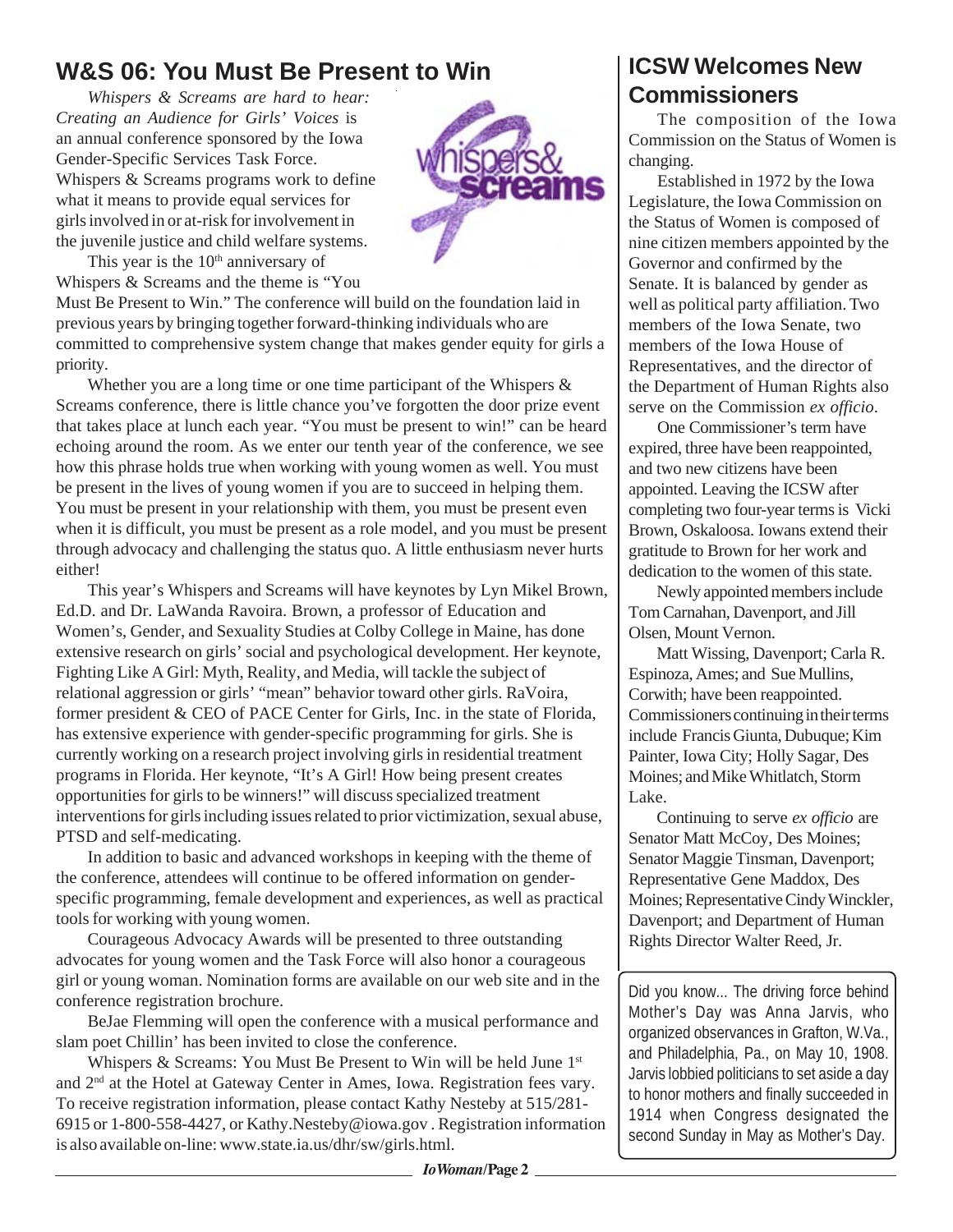#### **W&S 06: You Must Be Present to Win**

*Whispers & Screams are hard to hear: Creating an Audience for Girls' Voices* is an annual conference sponsored by the Iowa Gender-Specific Services Task Force. Whispers & Screams programs work to define what it means to provide equal services for girls involved in or at-risk for involvement in the juvenile justice and child welfare systems.



This year is the  $10<sup>th</sup>$  anniversary of Whispers & Screams and the theme is "You

Must Be Present to Win." The conference will build on the foundation laid in previous years by bringing together forward-thinking individuals who are committed to comprehensive system change that makes gender equity for girls a priority.

Whether you are a long time or one time participant of the Whispers  $\&$ Screams conference, there is little chance you've forgotten the door prize event that takes place at lunch each year. "You must be present to win!" can be heard echoing around the room. As we enter our tenth year of the conference, we see how this phrase holds true when working with young women as well. You must be present in the lives of young women if you are to succeed in helping them. You must be present in your relationship with them, you must be present even when it is difficult, you must be present as a role model, and you must be present through advocacy and challenging the status quo. A little enthusiasm never hurts either!

This year's Whispers and Screams will have keynotes by Lyn Mikel Brown, Ed.D. and Dr. LaWanda Ravoira. Brown, a professor of Education and Women's, Gender, and Sexuality Studies at Colby College in Maine, has done extensive research on girls' social and psychological development. Her keynote, Fighting Like A Girl: Myth, Reality, and Media, will tackle the subject of relational aggression or girls' "mean" behavior toward other girls. RaVoira, former president & CEO of PACE Center for Girls, Inc. in the state of Florida, has extensive experience with gender-specific programming for girls. She is currently working on a research project involving girls in residential treatment programs in Florida. Her keynote, "It's A Girl! How being present creates opportunities for girls to be winners!" will discuss specialized treatment interventions for girls including issues related to prior victimization, sexual abuse, PTSD and self-medicating.

In addition to basic and advanced workshops in keeping with the theme of the conference, attendees will continue to be offered information on genderspecific programming, female development and experiences, as well as practical tools for working with young women.

Courageous Advocacy Awards will be presented to three outstanding advocates for young women and the Task Force will also honor a courageous girl or young woman. Nomination forms are available on our web site and in the conference registration brochure.

BeJae Flemming will open the conference with a musical performance and slam poet Chillin' has been invited to close the conference.

Whispers & Screams: You Must Be Present to Win will be held June 1<sup>st</sup> and 2nd at the Hotel at Gateway Center in Ames, Iowa. Registration fees vary. To receive registration information, please contact Kathy Nesteby at 515/281- 6915 or 1-800-558-4427, or Kathy.Nesteby@iowa.gov . Registration information is also available on-line: www.state.ia.us/dhr/sw/girls.html.

#### **ICSW Welcomes New Commissioners**

The composition of the Iowa Commission on the Status of Women is changing.

Established in 1972 by the Iowa Legislature, the Iowa Commission on the Status of Women is composed of nine citizen members appointed by the Governor and confirmed by the Senate. It is balanced by gender as well as political party affiliation. Two members of the Iowa Senate, two members of the Iowa House of Representatives, and the director of the Department of Human Rights also serve on the Commission *ex officio*.

One Commissioner's term have expired, three have been reappointed, and two new citizens have been appointed. Leaving the ICSW after completing two four-year terms is Vicki Brown, Oskaloosa. Iowans extend their gratitude to Brown for her work and dedication to the women of this state.

Newly appointed members include Tom Carnahan, Davenport, and Jill Olsen, Mount Vernon.

Matt Wissing, Davenport; Carla R. Espinoza, Ames; and Sue Mullins, Corwith; have been reappointed. Commissioners continuing in their terms include Francis Giunta, Dubuque; Kim Painter, Iowa City; Holly Sagar, Des Moines; and Mike Whitlatch, Storm Lake.

Continuing to serve *ex officio* are Senator Matt McCoy, Des Moines; Senator Maggie Tinsman, Davenport; Representative Gene Maddox, Des Moines; Representative Cindy Winckler, Davenport; and Department of Human Rights Director Walter Reed, Jr.

Did you know... The driving force behind Mother's Day was Anna Jarvis, who organized observances in Grafton, W.Va., and Philadelphia, Pa., on May 10, 1908. Jarvis lobbied politicians to set aside a day to honor mothers and finally succeeded in 1914 when Congress designated the second Sunday in May as Mother's Day.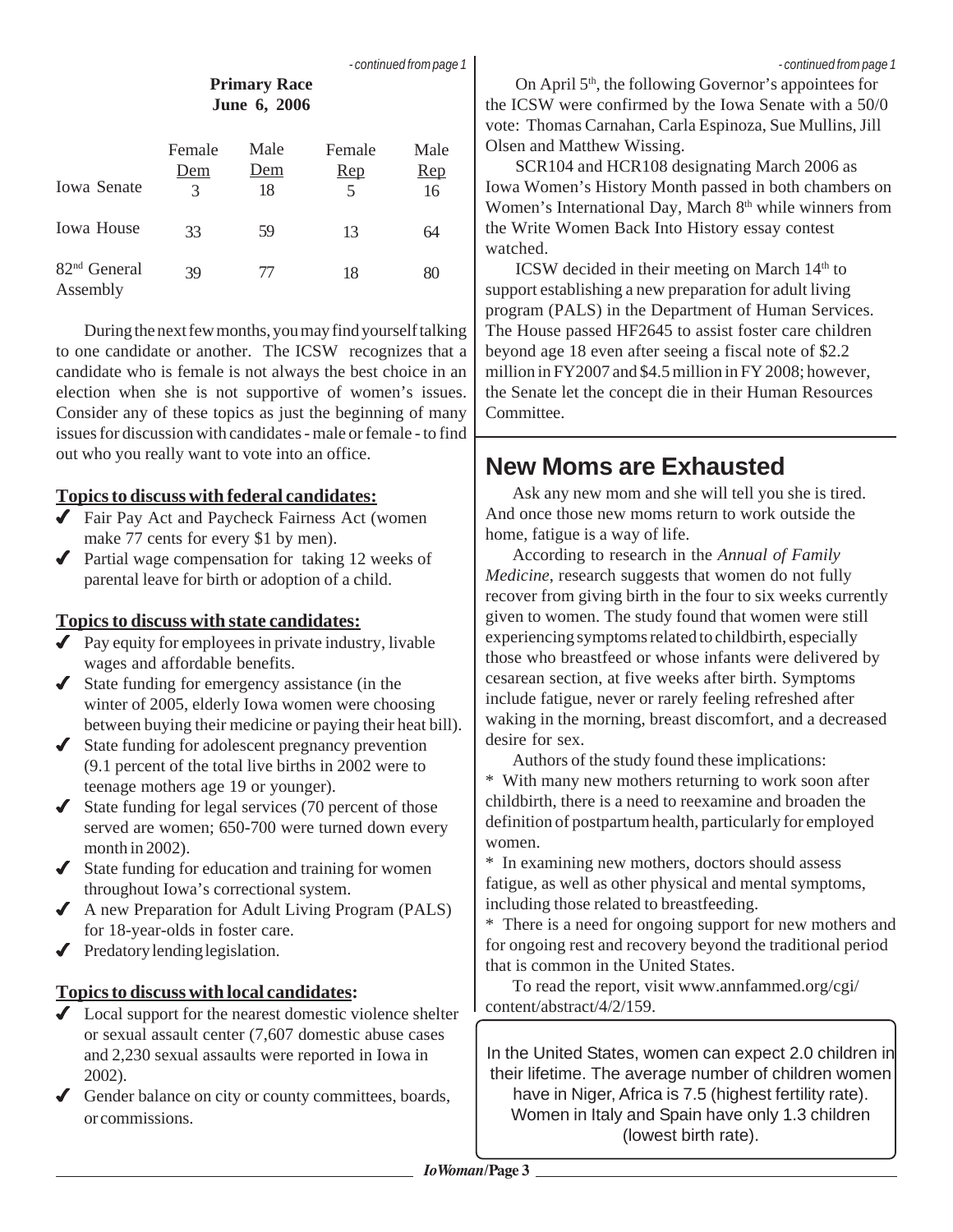#### **Primary Race June 6, 2006**

| <b>Iowa Senate</b>                   | Female<br>Dem<br>3 | Male<br>Dem<br>18 | Female<br>$\mathbf{Rep}$<br>5 | Male<br>$\mathbf{Rep}$<br>16 |
|--------------------------------------|--------------------|-------------------|-------------------------------|------------------------------|
| <b>Iowa House</b>                    | 33                 | 59                | 13                            | 64                           |
| 82 <sup>nd</sup> General<br>Assembly | 39                 | 77                | 18                            | 80                           |

During the next few months, you may find yourself talking to one candidate or another. The ICSW recognizes that a candidate who is female is not always the best choice in an election when she is not supportive of women's issues. Consider any of these topics as just the beginning of many issues for discussion with candidates - male or female - to find out who you really want to vote into an office.

#### **Topics to discuss with federal candidates:**

- ◆ Fair Pay Act and Paycheck Fairness Act (women make 77 cents for every \$1 by men).
- ◆ Partial wage compensation for taking 12 weeks of parental leave for birth or adoption of a child.

#### **Topics to discuss with state candidates:**

- $\blacktriangleright$  Pay equity for employees in private industry, livable wages and affordable benefits.
- State funding for emergency assistance (in the winter of 2005, elderly Iowa women were choosing between buying their medicine or paying their heat bill).
- $\triangleleft$  State funding for adolescent pregnancy prevention (9.1 percent of the total live births in 2002 were to teenage mothers age 19 or younger).
- $\triangleleft$  State funding for legal services (70 percent of those served are women; 650-700 were turned down every month in 2002).
- $\triangleleft$  State funding for education and training for women throughout Iowa's correctional system.
- A new Preparation for Adult Living Program (PALS) for 18-year-olds in foster care.
- $\blacktriangleright$  Predatory lending legislation.

#### **Topics to discuss with local candidates:**

- ◆ Local support for the nearest domestic violence shelter or sexual assault center (7,607 domestic abuse cases and 2,230 sexual assaults were reported in Iowa in 2002).
- Gender balance on city or county committees, boards, or commissions.

On April  $5<sup>th</sup>$ , the following Governor's appointees for the ICSW were confirmed by the Iowa Senate with a 50/0 vote: Thomas Carnahan, Carla Espinoza, Sue Mullins, Jill Olsen and Matthew Wissing.

SCR104 and HCR108 designating March 2006 as Iowa Women's History Month passed in both chambers on Women's International Day, March 8<sup>th</sup> while winners from the Write Women Back Into History essay contest watched.

ICSW decided in their meeting on March  $14<sup>th</sup>$  to support establishing a new preparation for adult living program (PALS) in the Department of Human Services. The House passed HF2645 to assist foster care children beyond age 18 even after seeing a fiscal note of \$2.2 million in FY2007 and \$4.5 million in FY 2008; however, the Senate let the concept die in their Human Resources Committee.

## **New Moms are Exhausted**

Ask any new mom and she will tell you she is tired. And once those new moms return to work outside the home, fatigue is a way of life.

According to research in the *Annual of Family Medicine*, research suggests that women do not fully recover from giving birth in the four to six weeks currently given to women. The study found that women were still experiencing symptoms related to childbirth, especially those who breastfeed or whose infants were delivered by cesarean section, at five weeks after birth. Symptoms include fatigue, never or rarely feeling refreshed after waking in the morning, breast discomfort, and a decreased desire for sex.

Authors of the study found these implications:

\* With many new mothers returning to work soon after childbirth, there is a need to reexamine and broaden the definition of postpartum health, particularly for employed women.

\* In examining new mothers, doctors should assess fatigue, as well as other physical and mental symptoms, including those related to breastfeeding.

\* There is a need for ongoing support for new mothers and for ongoing rest and recovery beyond the traditional period that is common in the United States.

To read the report, visit www.annfammed.org/cgi/ content/abstract/4/2/159.

In the United States, women can expect 2.0 children in their lifetime. The average number of children women have in Niger, Africa is 7.5 (highest fertility rate). Women in Italy and Spain have only 1.3 children (lowest birth rate).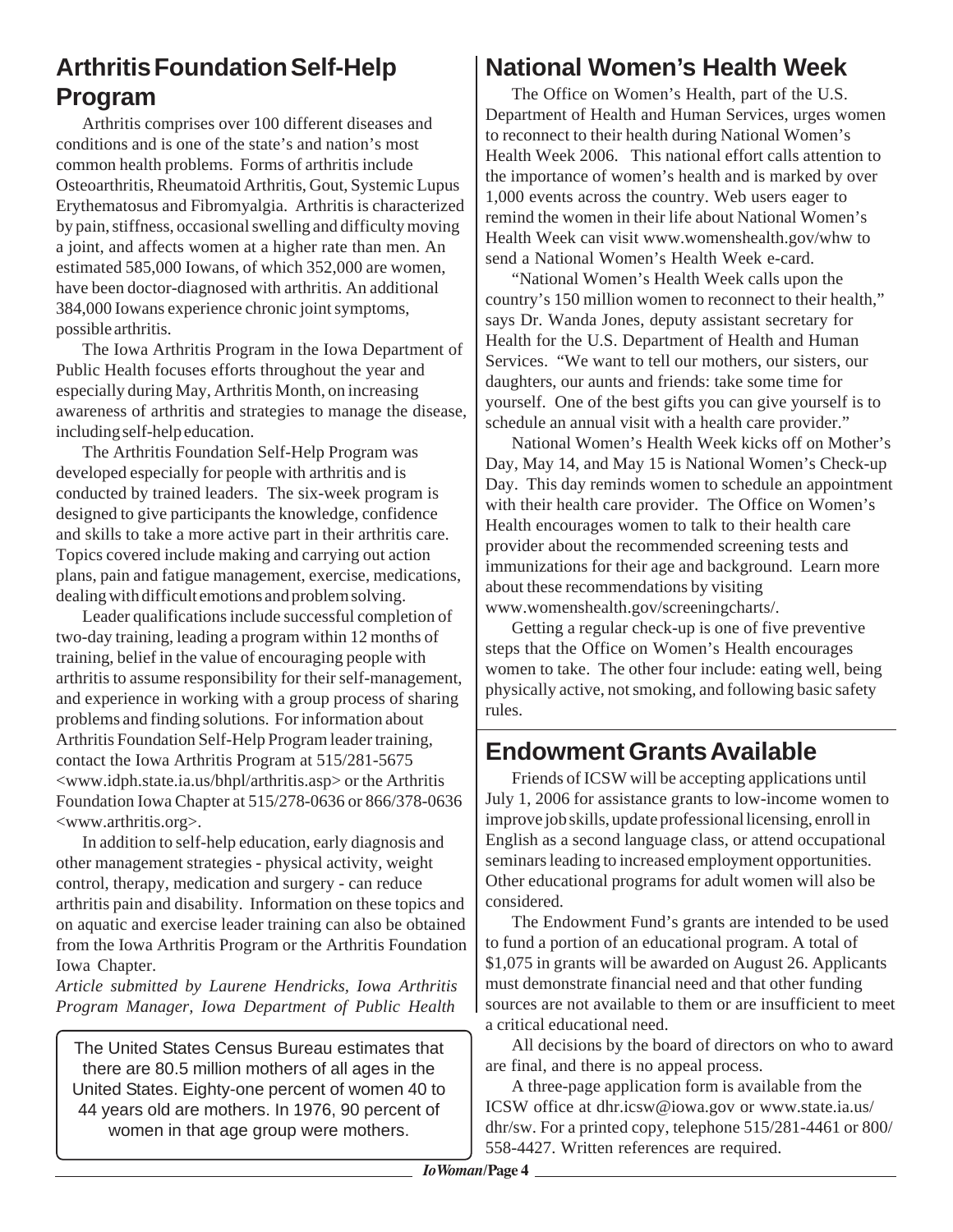## **Arthritis Foundation Self-Help Program**

Arthritis comprises over 100 different diseases and conditions and is one of the state's and nation's most common health problems. Forms of arthritis include Osteoarthritis, Rheumatoid Arthritis, Gout, Systemic Lupus Erythematosus and Fibromyalgia. Arthritis is characterized by pain, stiffness, occasional swelling and difficulty moving a joint, and affects women at a higher rate than men. An estimated 585,000 Iowans, of which 352,000 are women, have been doctor-diagnosed with arthritis. An additional 384,000 Iowans experience chronic joint symptoms, possible arthritis.

The Iowa Arthritis Program in the Iowa Department of Public Health focuses efforts throughout the year and especially during May, Arthritis Month, on increasing awareness of arthritis and strategies to manage the disease, including self-help education.

The Arthritis Foundation Self-Help Program was developed especially for people with arthritis and is conducted by trained leaders. The six-week program is designed to give participants the knowledge, confidence and skills to take a more active part in their arthritis care. Topics covered include making and carrying out action plans, pain and fatigue management, exercise, medications, dealing with difficult emotions and problem solving.

Leader qualifications include successful completion of two-day training, leading a program within 12 months of training, belief in the value of encouraging people with arthritis to assume responsibility for their self-management, and experience in working with a group process of sharing problems and finding solutions. For information about Arthritis Foundation Self-Help Program leader training, contact the Iowa Arthritis Program at 515/281-5675 <www.idph.state.ia.us/bhpl/arthritis.asp> or the Arthritis Foundation Iowa Chapter at 515/278-0636 or 866/378-0636 <www.arthritis.org>.

In addition to self-help education, early diagnosis and other management strategies - physical activity, weight control, therapy, medication and surgery - can reduce arthritis pain and disability. Information on these topics and on aquatic and exercise leader training can also be obtained from the Iowa Arthritis Program or the Arthritis Foundation Iowa Chapter.

*Article submitted by Laurene Hendricks, Iowa Arthritis Program Manager, Iowa Department of Public Health*

The United States Census Bureau estimates that there are 80.5 million mothers of all ages in the United States. Eighty-one percent of women 40 to 44 years old are mothers. In 1976, 90 percent of women in that age group were mothers.

#### **National Women's Health Week**

The Office on Women's Health, part of the U.S. Department of Health and Human Services, urges women to reconnect to their health during National Women's Health Week 2006. This national effort calls attention to the importance of women's health and is marked by over 1,000 events across the country. Web users eager to remind the women in their life about National Women's Health Week can visit www.womenshealth.gov/whw to send a National Women's Health Week e-card.

"National Women's Health Week calls upon the country's 150 million women to reconnect to their health," says Dr. Wanda Jones, deputy assistant secretary for Health for the U.S. Department of Health and Human Services. "We want to tell our mothers, our sisters, our daughters, our aunts and friends: take some time for yourself. One of the best gifts you can give yourself is to schedule an annual visit with a health care provider."

National Women's Health Week kicks off on Mother's Day, May 14, and May 15 is National Women's Check-up Day. This day reminds women to schedule an appointment with their health care provider. The Office on Women's Health encourages women to talk to their health care provider about the recommended screening tests and immunizations for their age and background. Learn more about these recommendations by visiting www.womenshealth.gov/screeningcharts/.

Getting a regular check-up is one of five preventive steps that the Office on Women's Health encourages women to take. The other four include: eating well, being physically active, not smoking, and following basic safety rules.

#### **Endowment Grants Available**

Friends of ICSW will be accepting applications until July 1, 2006 for assistance grants to low-income women to improve job skills, update professional licensing, enroll in English as a second language class, or attend occupational seminars leading to increased employment opportunities. Other educational programs for adult women will also be considered.

The Endowment Fund's grants are intended to be used to fund a portion of an educational program. A total of \$1,075 in grants will be awarded on August 26. Applicants must demonstrate financial need and that other funding sources are not available to them or are insufficient to meet a critical educational need.

All decisions by the board of directors on who to award are final, and there is no appeal process.

A three-page application form is available from the ICSW office at dhr.icsw@iowa.gov or www.state.ia.us/ dhr/sw. For a printed copy, telephone 515/281-4461 or 800/ 558-4427. Written references are required.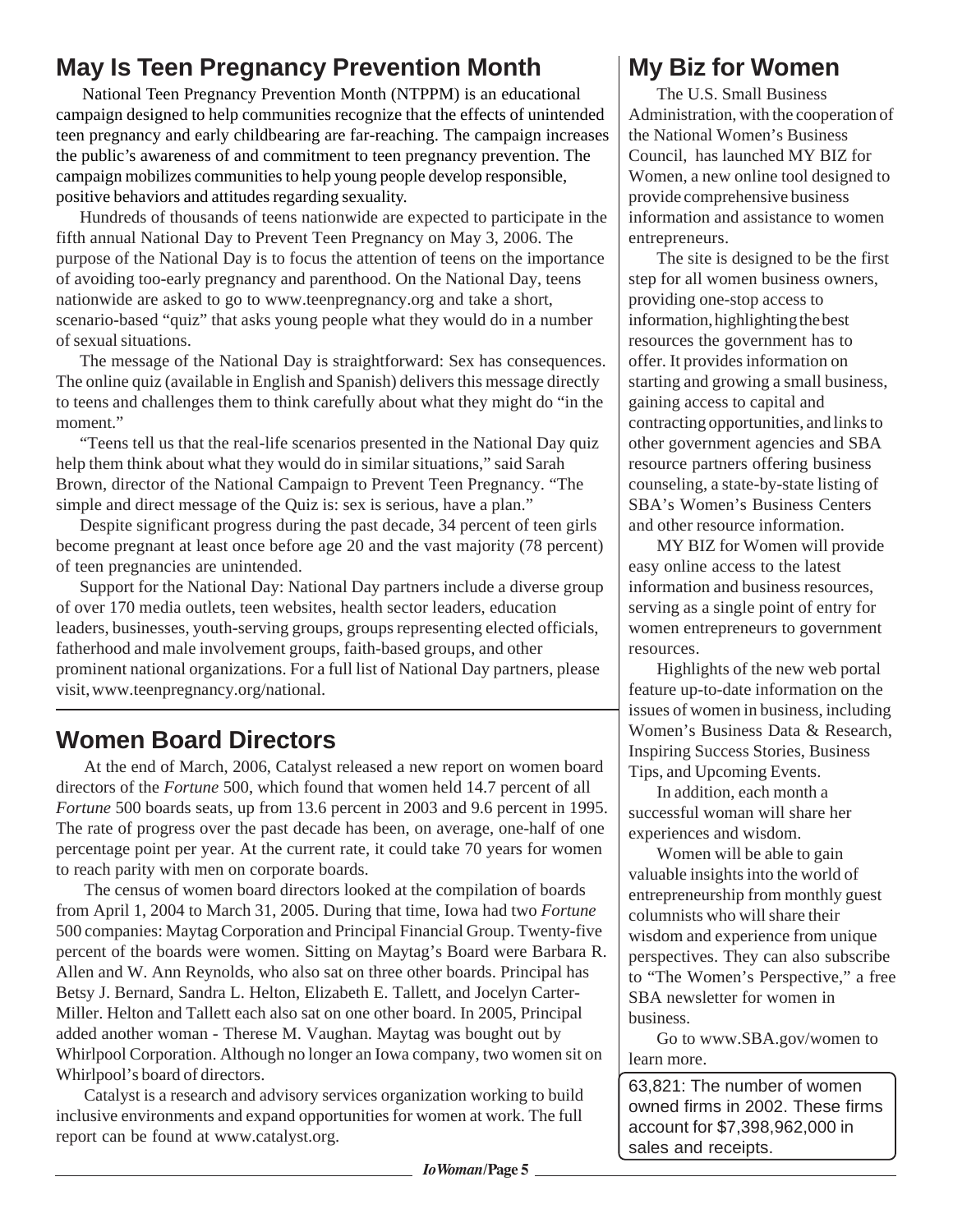## **May Is Teen Pregnancy Prevention Month**

National Teen Pregnancy Prevention Month (NTPPM) is an educational campaign designed to help communities recognize that the effects of unintended teen pregnancy and early childbearing are far-reaching. The campaign increases the public's awareness of and commitment to teen pregnancy prevention. The campaign mobilizes communities to help young people develop responsible, positive behaviors and attitudes regarding sexuality.

Hundreds of thousands of teens nationwide are expected to participate in the fifth annual National Day to Prevent Teen Pregnancy on May 3, 2006. The purpose of the National Day is to focus the attention of teens on the importance of avoiding too-early pregnancy and parenthood. On the National Day, teens nationwide are asked to go to www.teenpregnancy.org and take a short, scenario-based "quiz" that asks young people what they would do in a number of sexual situations.

The message of the National Day is straightforward: Sex has consequences. The online quiz (available in English and Spanish) delivers this message directly to teens and challenges them to think carefully about what they might do "in the moment."

"Teens tell us that the real-life scenarios presented in the National Day quiz help them think about what they would do in similar situations," said Sarah Brown, director of the National Campaign to Prevent Teen Pregnancy. "The simple and direct message of the Quiz is: sex is serious, have a plan."

Despite significant progress during the past decade, 34 percent of teen girls become pregnant at least once before age 20 and the vast majority (78 percent) of teen pregnancies are unintended.

Support for the National Day: National Day partners include a diverse group of over 170 media outlets, teen websites, health sector leaders, education leaders, businesses, youth-serving groups, groups representing elected officials, fatherhood and male involvement groups, faith-based groups, and other prominent national organizations. For a full list of National Day partners, please visit, www.teenpregnancy.org/national.

## **Women Board Directors**

At the end of March, 2006, Catalyst released a new report on women board directors of the *Fortune* 500, which found that women held 14.7 percent of all *Fortune* 500 boards seats, up from 13.6 percent in 2003 and 9.6 percent in 1995. The rate of progress over the past decade has been, on average, one-half of one percentage point per year. At the current rate, it could take 70 years for women to reach parity with men on corporate boards.

The census of women board directors looked at the compilation of boards from April 1, 2004 to March 31, 2005. During that time, Iowa had two *Fortune* 500 companies: Maytag Corporation and Principal Financial Group. Twenty-five percent of the boards were women. Sitting on Maytag's Board were Barbara R. Allen and W. Ann Reynolds, who also sat on three other boards. Principal has Betsy J. Bernard, Sandra L. Helton, Elizabeth E. Tallett, and Jocelyn Carter-Miller. Helton and Tallett each also sat on one other board. In 2005, Principal added another woman - Therese M. Vaughan. Maytag was bought out by Whirlpool Corporation. Although no longer an Iowa company, two women sit on Whirlpool's board of directors.

Catalyst is a research and advisory services organization working to build inclusive environments and expand opportunities for women at work. The full report can be found at www.catalyst.org.

#### **My Biz for Women**

The U.S. Small Business Administration, with the cooperation of the National Women's Business Council, has launched MY BIZ for Women, a new online tool designed to provide comprehensive business information and assistance to women entrepreneurs.

The site is designed to be the first step for all women business owners, providing one-stop access to information, highlighting the best resources the government has to offer. It provides information on starting and growing a small business, gaining access to capital and contracting opportunities, and links to other government agencies and SBA resource partners offering business counseling, a state-by-state listing of SBA's Women's Business Centers and other resource information.

MY BIZ for Women will provide easy online access to the latest information and business resources, serving as a single point of entry for women entrepreneurs to government resources.

Highlights of the new web portal feature up-to-date information on the issues of women in business, including Women's Business Data & Research, Inspiring Success Stories, Business Tips, and Upcoming Events.

In addition, each month a successful woman will share her experiences and wisdom.

Women will be able to gain valuable insights into the world of entrepreneurship from monthly guest columnists who will share their wisdom and experience from unique perspectives. They can also subscribe to "The Women's Perspective," a free SBA newsletter for women in business.

Go to www.SBA.gov/women to learn more.

63,821: The number of women owned firms in 2002. These firms account for \$7,398,962,000 in sales and receipts.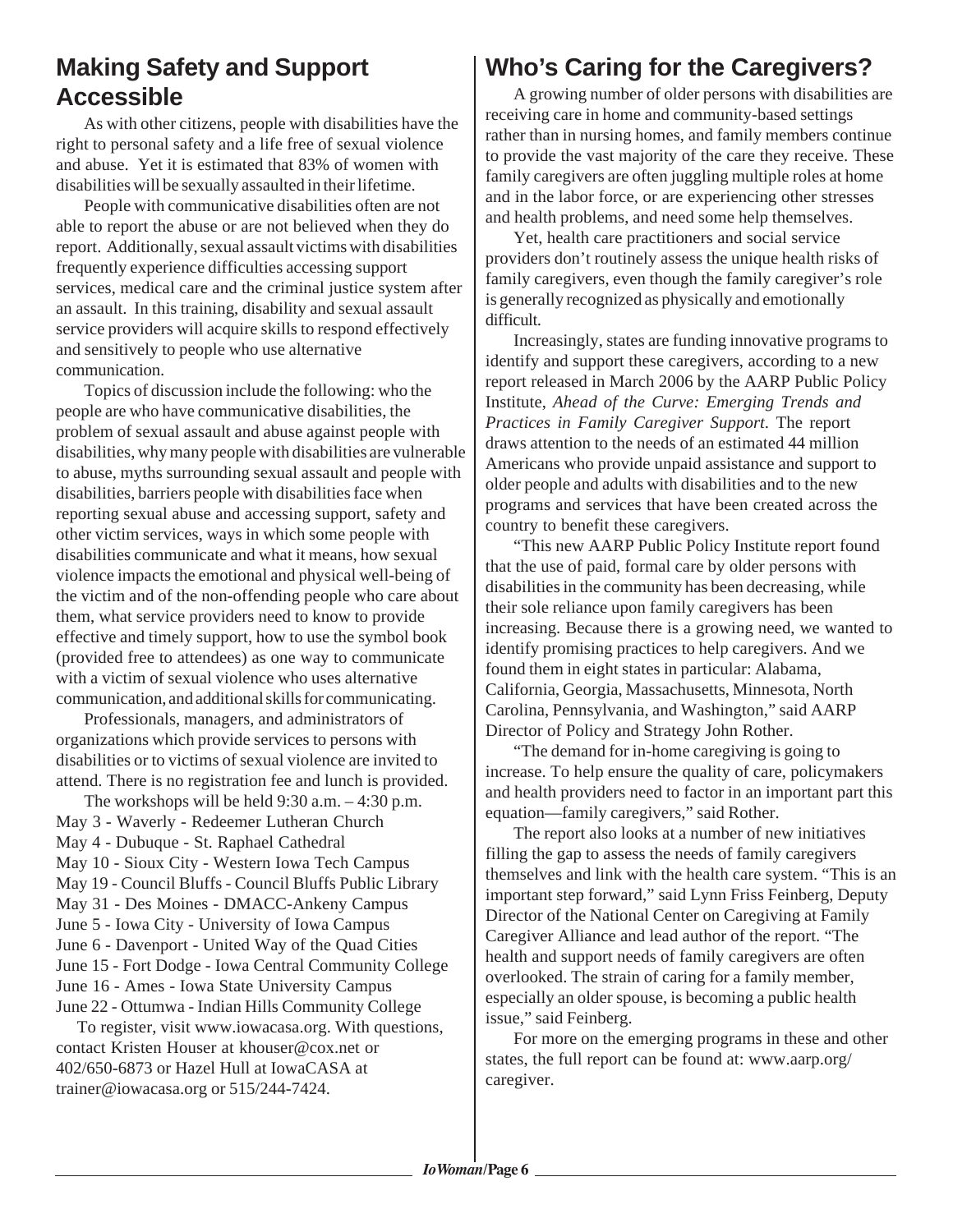#### **Making Safety and Support Accessible**

As with other citizens, people with disabilities have the right to personal safety and a life free of sexual violence and abuse. Yet it is estimated that 83% of women with disabilities will be sexually assaulted in their lifetime.

People with communicative disabilities often are not able to report the abuse or are not believed when they do report. Additionally, sexual assault victims with disabilities frequently experience difficulties accessing support services, medical care and the criminal justice system after an assault. In this training, disability and sexual assault service providers will acquire skills to respond effectively and sensitively to people who use alternative communication.

Topics of discussion include the following: who the people are who have communicative disabilities, the problem of sexual assault and abuse against people with disabilities, why many people with disabilities are vulnerable to abuse, myths surrounding sexual assault and people with disabilities, barriers people with disabilities face when reporting sexual abuse and accessing support, safety and other victim services, ways in which some people with disabilities communicate and what it means, how sexual violence impacts the emotional and physical well-being of the victim and of the non-offending people who care about them, what service providers need to know to provide effective and timely support, how to use the symbol book (provided free to attendees) as one way to communicate with a victim of sexual violence who uses alternative communication, and additional skills for communicating.

Professionals, managers, and administrators of organizations which provide services to persons with disabilities or to victims of sexual violence are invited to attend. There is no registration fee and lunch is provided.

The workshops will be held 9:30 a.m. – 4:30 p.m. May 3 - Waverly - Redeemer Lutheran Church May 4 - Dubuque - St. Raphael Cathedral May 10 - Sioux City - Western Iowa Tech Campus May 19 - Council Bluffs - Council Bluffs Public Library May 31 - Des Moines - DMACC-Ankeny Campus June 5 - Iowa City - University of Iowa Campus June 6 - Davenport - United Way of the Quad Cities June 15 - Fort Dodge - Iowa Central Community College June 16 - Ames - Iowa State University Campus June 22 - Ottumwa - Indian Hills Community College

 To register, visit www.iowacasa.org. With questions, contact Kristen Houser at khouser@cox.net or 402/650-6873 or Hazel Hull at IowaCASA at trainer@iowacasa.org or 515/244-7424.

#### **Who's Caring for the Caregivers?**

A growing number of older persons with disabilities are receiving care in home and community-based settings rather than in nursing homes, and family members continue to provide the vast majority of the care they receive. These family caregivers are often juggling multiple roles at home and in the labor force, or are experiencing other stresses and health problems, and need some help themselves.

Yet, health care practitioners and social service providers don't routinely assess the unique health risks of family caregivers, even though the family caregiver's role is generally recognized as physically and emotionally difficult.

Increasingly, states are funding innovative programs to identify and support these caregivers, according to a new report released in March 2006 by the AARP Public Policy Institute, *Ahead of the Curve: Emerging Trends and Practices in Family Caregiver Support*. The report draws attention to the needs of an estimated 44 million Americans who provide unpaid assistance and support to older people and adults with disabilities and to the new programs and services that have been created across the country to benefit these caregivers.

"This new AARP Public Policy Institute report found that the use of paid, formal care by older persons with disabilities in the community has been decreasing, while their sole reliance upon family caregivers has been increasing. Because there is a growing need, we wanted to identify promising practices to help caregivers. And we found them in eight states in particular: Alabama, California, Georgia, Massachusetts, Minnesota, North Carolina, Pennsylvania, and Washington," said AARP Director of Policy and Strategy John Rother.

"The demand for in-home caregiving is going to increase. To help ensure the quality of care, policymakers and health providers need to factor in an important part this equation—family caregivers," said Rother.

The report also looks at a number of new initiatives filling the gap to assess the needs of family caregivers themselves and link with the health care system. "This is an important step forward," said Lynn Friss Feinberg, Deputy Director of the National Center on Caregiving at Family Caregiver Alliance and lead author of the report. "The health and support needs of family caregivers are often overlooked. The strain of caring for a family member, especially an older spouse, is becoming a public health issue," said Feinberg.

For more on the emerging programs in these and other states, the full report can be found at: www.aarp.org/ caregiver.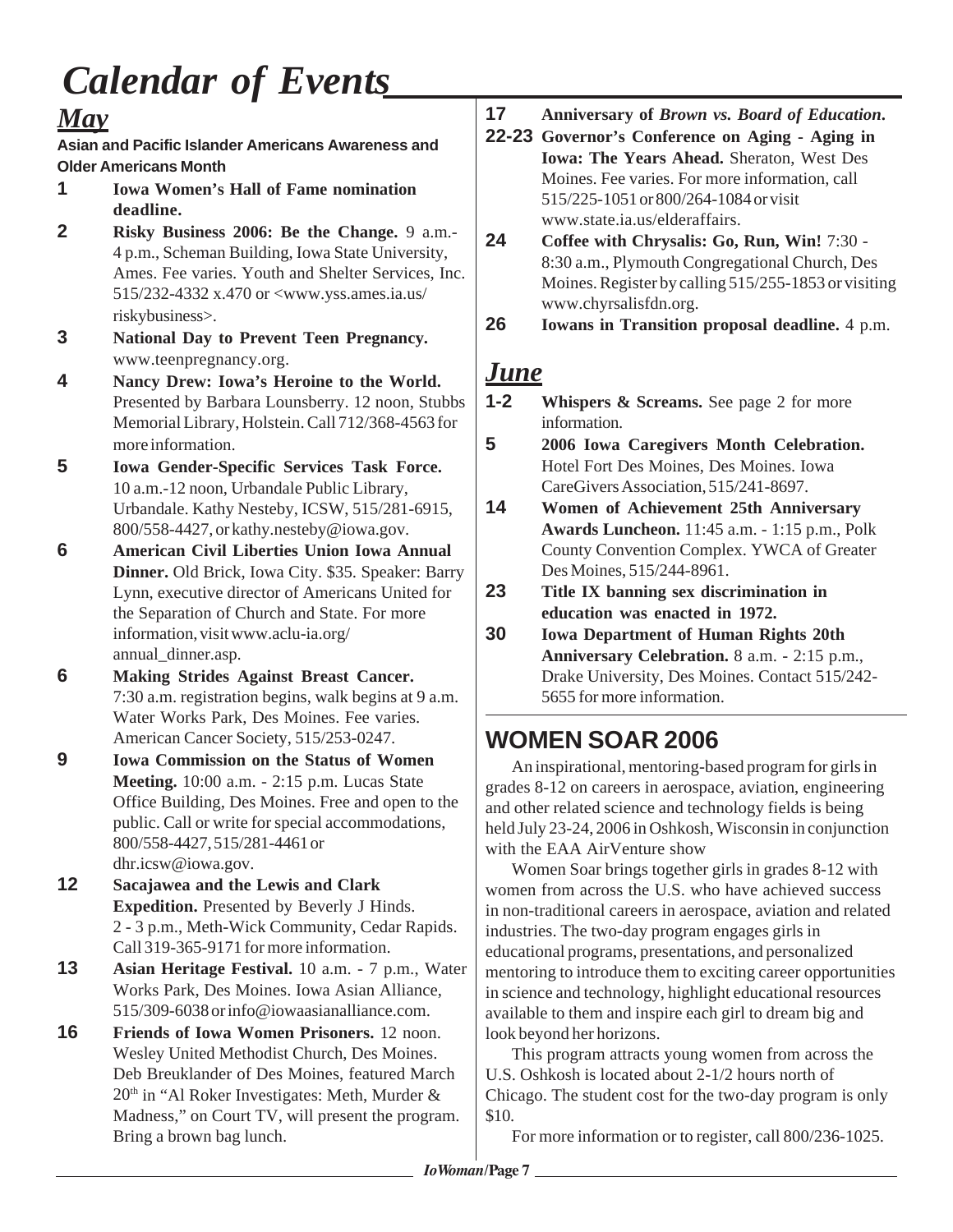# *Calendar of Events*

#### *May*

**Asian and Pacific Islander Americans Awareness and Older Americans Month**

- **1 Iowa Women's Hall of Fame nomination deadline.**
- **2 Risky Business 2006: Be the Change.** 9 a.m.- 4 p.m., Scheman Building, Iowa State University, Ames. Fee varies. Youth and Shelter Services, Inc. 515/232-4332 x.470 or <www.yss.ames.ia.us/ riskybusiness>.
- **3 National Day to Prevent Teen Pregnancy.** www.teenpregnancy.org.
- **4 Nancy Drew: Iowa's Heroine to the World.** Presented by Barbara Lounsberry. 12 noon, Stubbs Memorial Library, Holstein. Call 712/368-4563 for more information.
- **5 Iowa Gender-Specific Services Task Force.** 10 a.m.-12 noon, Urbandale Public Library, Urbandale. Kathy Nesteby, ICSW, 515/281-6915, 800/558-4427, or kathy.nesteby@iowa.gov.
- **6 American Civil Liberties Union Iowa Annual Dinner.** Old Brick, Iowa City. \$35. Speaker: Barry Lynn, executive director of Americans United for the Separation of Church and State. For more information, visit www.aclu-ia.org/ annual\_dinner.asp.
- **6 Making Strides Against Breast Cancer.** 7:30 a.m. registration begins, walk begins at 9 a.m. Water Works Park, Des Moines. Fee varies. American Cancer Society, 515/253-0247.
- **9 Iowa Commission on the Status of Women Meeting.** 10:00 a.m. - 2:15 p.m. Lucas State Office Building, Des Moines. Free and open to the public. Call or write for special accommodations, 800/558-4427, 515/281-4461 or dhr.icsw@iowa.gov.
- **12 Sacajawea and the Lewis and Clark Expedition.** Presented by Beverly J Hinds. 2 - 3 p.m., Meth-Wick Community, Cedar Rapids. Call 319-365-9171 for more information.
- **13 Asian Heritage Festival.** 10 a.m. 7 p.m., Water Works Park, Des Moines. Iowa Asian Alliance, 515/309-6038 or info@iowaasianalliance.com.
- **16 Friends of Iowa Women Prisoners.** 12 noon. Wesley United Methodist Church, Des Moines. Deb Breuklander of Des Moines, featured March  $20<sup>th</sup>$  in "Al Roker Investigates: Meth, Murder & Madness," on Court TV, will present the program. Bring a brown bag lunch.
- **17 Anniversary of** *Brown vs. Board of Education***.**
- **22-23 Governor's Conference on Aging Aging in Iowa: The Years Ahead.** Sheraton, West Des Moines. Fee varies. For more information, call 515/225-1051 or 800/264-1084 or visit www.state.ia.us/elderaffairs.
- **24 Coffee with Chrysalis: Go, Run, Win!** 7:30 8:30 a.m., Plymouth Congregational Church, Des Moines. Register by calling 515/255-1853 or visiting www.chyrsalisfdn.org.
- **26 Iowans in Transition proposal deadline.** 4 p.m.

## *June*

- **1-2 Whispers & Screams.** See page 2 for more information.
- **5 2006 Iowa Caregivers Month Celebration.** Hotel Fort Des Moines, Des Moines. Iowa CareGivers Association, 515/241-8697.
- **14 Women of Achievement 25th Anniversary Awards Luncheon.** 11:45 a.m. - 1:15 p.m., Polk County Convention Complex. YWCA of Greater Des Moines, 515/244-8961.
- **23 Title IX banning sex discrimination in education was enacted in 1972.**
- **30 Iowa Department of Human Rights 20th Anniversary Celebration.** 8 a.m. - 2:15 p.m., Drake University, Des Moines. Contact 515/242- 5655 for more information.

## **WOMEN SOAR 2006**

An inspirational, mentoring-based program for girls in grades 8-12 on careers in aerospace, aviation, engineering and other related science and technology fields is being held July 23-24, 2006 in Oshkosh, Wisconsin in conjunction with the EAA AirVenture show

Women Soar brings together girls in grades 8-12 with women from across the U.S. who have achieved success in non-traditional careers in aerospace, aviation and related industries. The two-day program engages girls in educational programs, presentations, and personalized mentoring to introduce them to exciting career opportunities in science and technology, highlight educational resources available to them and inspire each girl to dream big and look beyond her horizons.

This program attracts young women from across the U.S. Oshkosh is located about 2-1/2 hours north of Chicago. The student cost for the two-day program is only \$10.

For more information or to register, call 800/236-1025.